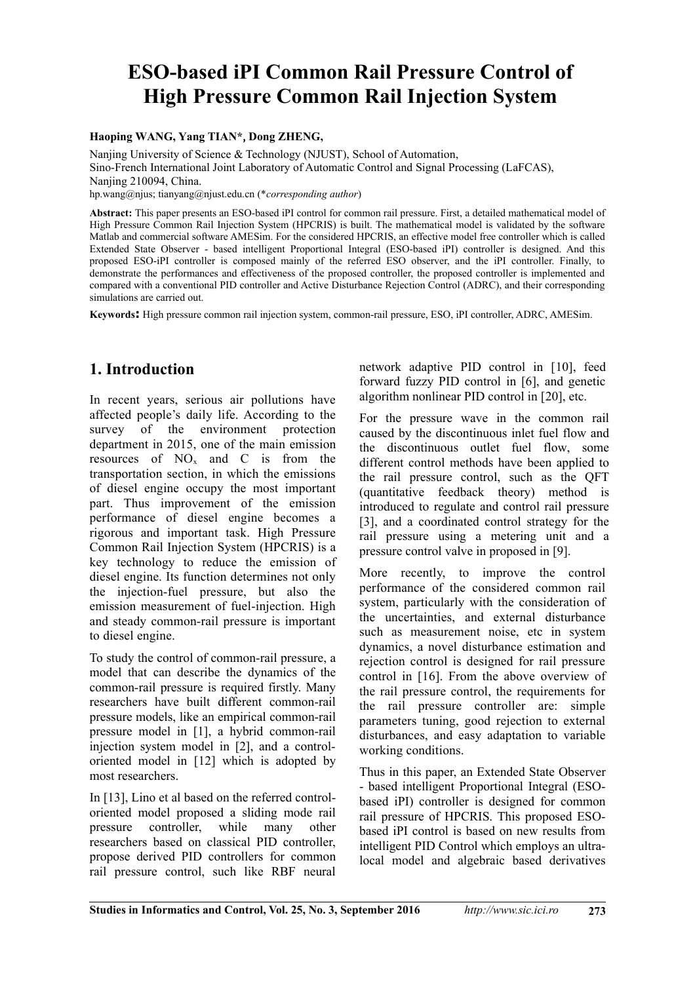# **ESO-based iPI Common Rail Pressure Control of High Pressure Common Rail Injection System**

**Haoping WANG, Yang TIAN\***,**Dong ZHENG,**

Nanjing University of Science & Technology (NJUST), School of Automation, Sino-French International Joint Laboratory of Automatic Control and Signal Processing (LaFCAS), Nanjing 210094, China. hp.wang@njus; tianyang@njust.edu.cn (\**corresponding author*)

**Abstract:** This paper presents an ESO-based iPI control for common rail pressure. First, a detailed mathematical model of High Pressure Common Rail Injection System (HPCRIS) is built. The mathematical model is validated by the software Matlab and commercial software AMESim. For the considered HPCRIS, an effective model free controller which is called Extended State Observer - based intelligent Proportional Integral (ESO-based iPI) controller is designed. And this proposed ESO-iPI controller is composed mainly of the referred ESO observer, and the iPI controller. Finally, to demonstrate the performances and effectiveness of the proposed controller, the proposed controller is implemented and compared with a conventional PID controller and Active Disturbance Rejection Control (ADRC), and their corresponding simulations are carried out.

**Keywords:** High pressure common rail injection system, common-rail pressure, ESO, iPI controller, ADRC, AMESim.

## **1. Introduction**

In recent years, serious air pollutions have affected people's daily life. According to the survey of the environment protection department in 2015, one of the main emission resources of  $NO<sub>x</sub>$  and C is from the transportation section, in which the emissions of diesel engine occupy the most important part. Thus improvement of the emission performance of diesel engine becomes a rigorous and important task. High Pressure Common Rail Injection System (HPCRIS) is a key technology to reduce the emission of diesel engine. Its function determines not only the injection-fuel pressure, but also the emission measurement of fuel-injection. High and steady common-rail pressure is important to diesel engine.

To study the control of common-rail pressure, a model that can describe the dynamics of the common-rail pressure is required firstly. Many researchers have built different common-rail pressure models, like an empirical common-rail pressure model in [1], a hybrid common-rail injection system model in [2], and a controloriented model in [12] which is adopted by most researchers.

In [13], Lino et al based on the referred controloriented model proposed a sliding mode rail pressure controller, while many other researchers based on classical PID controller, propose derived PID controllers for common rail pressure control, such like RBF neural

network adaptive PID control in [10], feed forward fuzzy PID control in [6], and genetic algorithm nonlinear PID control in [20], etc.

For the pressure wave in the common rail caused by the discontinuous inlet fuel flow and the discontinuous outlet fuel flow, some different control methods have been applied to the rail pressure control, such as the QFT (quantitative feedback theory) method is introduced to regulate and control rail pressure [3], and a coordinated control strategy for the rail pressure using a metering unit and a pressure control valve in proposed in [9].

More recently, to improve the control performance of the considered common rail system, particularly with the consideration of the uncertainties, and external disturbance such as measurement noise, etc in system dynamics, a novel disturbance estimation and rejection control is designed for rail pressure control in [16]. From the above overview of the rail pressure control, the requirements for the rail pressure controller are: simple parameters tuning, good rejection to external disturbances, and easy adaptation to variable working conditions.

Thus in this paper, an Extended State Observer - based intelligent Proportional Integral (ESObased iPI) controller is designed for common rail pressure of HPCRIS. This proposed ESObased iPI control is based on new results from intelligent PID Control which employs an ultralocal model and algebraic based derivatives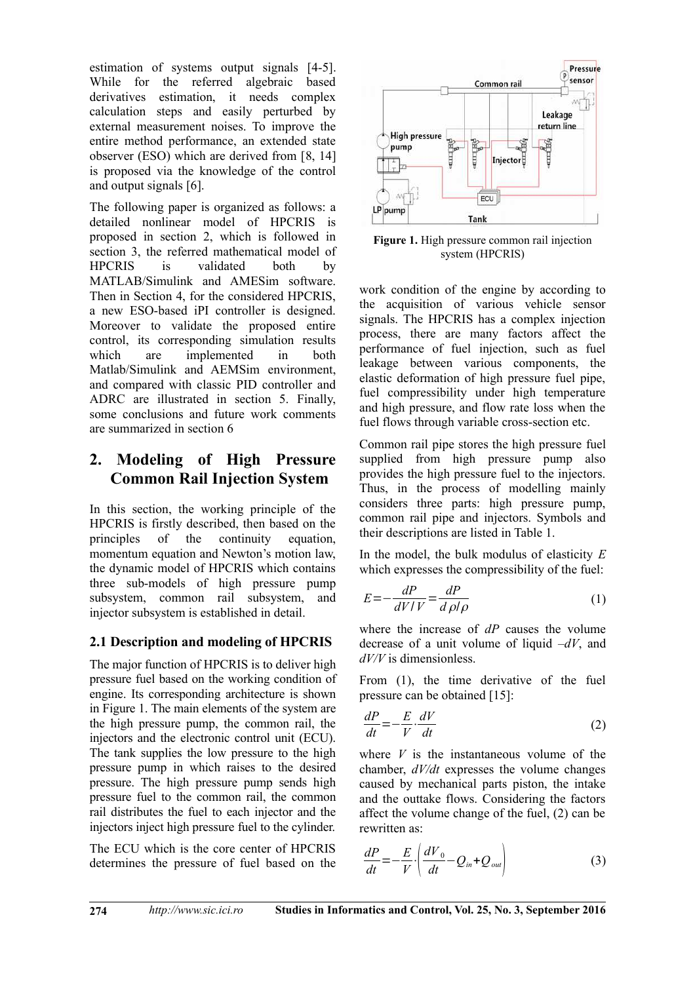estimation of systems output signals [4-5]. While for the referred algebraic based derivatives estimation, it needs complex calculation steps and easily perturbed by external measurement noises. To improve the entire method performance, an extended state observer (ESO) which are derived from [8, 14] is proposed via the knowledge of the control and output signals [6].

The following paper is organized as follows: a detailed nonlinear model of HPCRIS is proposed in section 2, which is followed in section 3, the referred mathematical model of HPCRIS is validated both by MATLAB/Simulink and AMESim software. Then in Section 4, for the considered HPCRIS, a new ESO-based iPI controller is designed. Moreover to validate the proposed entire control, its corresponding simulation results which are implemented in both Matlab/Simulink and AEMSim environment, and compared with classic PID controller and ADRC are illustrated in section 5. Finally, some conclusions and future work comments are summarized in section 6

## **2. Modeling of High Pressure Common Rail Injection System**

In this section, the working principle of the HPCRIS is firstly described, then based on the principles of the continuity equation, momentum equation and Newton's motion law, the dynamic model of HPCRIS which contains three sub-models of high pressure pump subsystem, common rail subsystem, and injector subsystem is established in detail.

## **2.1 Description and modeling of HPCRIS**

The major function of HPCRIS is to deliver high pressure fuel based on the working condition of engine. Its corresponding architecture is shown in Figure 1. The main elements of the system are the high pressure pump, the common rail, the injectors and the electronic control unit (ECU). The tank supplies the low pressure to the high pressure pump in which raises to the desired pressure. The high pressure pump sends high pressure fuel to the common rail, the common rail distributes the fuel to each injector and the injectors inject high pressure fuel to the cylinder.

The ECU which is the core center of HPCRIS determines the pressure of fuel based on the



**Figure 1.** High pressure common rail injection system (HPCRIS)

work condition of the engine by according to the acquisition of various vehicle sensor signals. The HPCRIS has a complex injection process, there are many factors affect the performance of fuel injection, such as fuel leakage between various components, the elastic deformation of high pressure fuel pipe, fuel compressibility under high temperature and high pressure, and flow rate loss when the fuel flows through variable cross-section etc.

Common rail pipe stores the high pressure fuel supplied from high pressure pump also provides the high pressure fuel to the injectors. Thus, in the process of modelling mainly considers three parts: high pressure pump, common rail pipe and injectors. Symbols and their descriptions are listed in Table 1.

In the model, the bulk modulus of elasticity *E* which expresses the compressibility of the fuel:

$$
E = -\frac{dP}{dV/V} = \frac{dP}{d\rho/\rho} \tag{1}
$$

where the increase of *dP* causes the volume decrease of a unit volume of liquid *–dV*, and *dV/V* is dimensionless.

From (1), the time derivative of the fuel pressure can be obtained [15]:

$$
\frac{dP}{dt} = -\frac{E}{V} \cdot \frac{dV}{dt} \tag{2}
$$

where *V* is the instantaneous volume of the chamber, *dV/dt* expresses the volume changes caused by mechanical parts piston, the intake and the outtake flows. Considering the factors affect the volume change of the fuel, (2) can be rewritten as:

$$
\frac{dP}{dt} = -\frac{E}{V} \cdot \left( \frac{dV_0}{dt} - Q_{in} + Q_{out} \right) \tag{3}
$$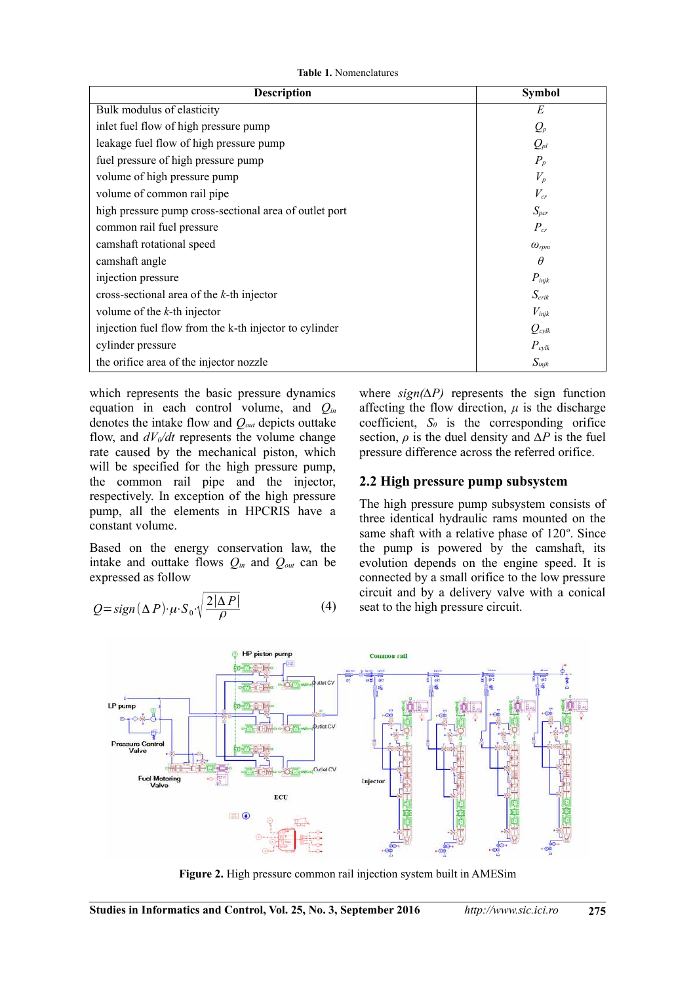**Table 1.** Nomenclatures

| <b>Description</b>                                     | <b>Symbol</b>           |
|--------------------------------------------------------|-------------------------|
| Bulk modulus of elasticity                             | E                       |
| inlet fuel flow of high pressure pump                  | $Q_p$                   |
| leakage fuel flow of high pressure pump                | $Q_{pl}$                |
| fuel pressure of high pressure pump                    | $P_p$                   |
| volume of high pressure pump                           | $V_p$                   |
| volume of common rail pipe                             | $V_{cr}$                |
| high pressure pump cross-sectional area of outlet port | $S_{\it pcr}$           |
| common rail fuel pressure                              | $P_{cr}$                |
| camshaft rotational speed                              | $\omega_{\textit{rpm}}$ |
| camshaft angle                                         | $\theta$                |
| injection pressure                                     | $P_{\text{injk}}$       |
| cross-sectional area of the $k$ -th injector           | $S_{\text{crik}}$       |
| volume of the $k$ -th injector                         | $V_{\text{injk}}$       |
| injection fuel flow from the k-th injector to cylinder | $Q_{cvlk}$              |
| cylinder pressure                                      | $P_{\text{cv}lk}$       |
| the orifice area of the injector nozzle                | $S_{\text{injk}}$       |

which represents the basic pressure dynamics equation in each control volume, and *Qin* denotes the intake flow and *Qout* depicts outtake flow, and  $dV_0/dt$  represents the volume change rate caused by the mechanical piston, which will be specified for the high pressure pump, the common rail pipe and the injector, respectively. In exception of the high pressure pump, all the elements in HPCRIS have a constant volume.

Based on the energy conservation law, the intake and outtake flows  $Q_{in}$  and  $Q_{out}$  can be expressed as follow

$$
Q = sign(\Delta P) \cdot \mu \cdot S_0 \cdot \sqrt{\frac{2|\Delta P|}{\rho}}
$$
 (4)

where *sign(∆P)* represents the sign function affecting the flow direction,  $\mu$  is the discharge coefficient, *S0* is the corresponding orifice section,  $\rho$  is the duel density and  $\Delta P$  is the fuel pressure difference across the referred orifice.

#### **2.2 High pressure pump subsystem**

The high pressure pump subsystem consists of three identical hydraulic rams mounted on the same shaft with a relative phase of 120°. Since the pump is powered by the camshaft, its evolution depends on the engine speed. It is connected by a small orifice to the low pressure circuit and by a delivery valve with a conical seat to the high pressure circuit.



**Figure 2.** High pressure common rail injection system built in AMESim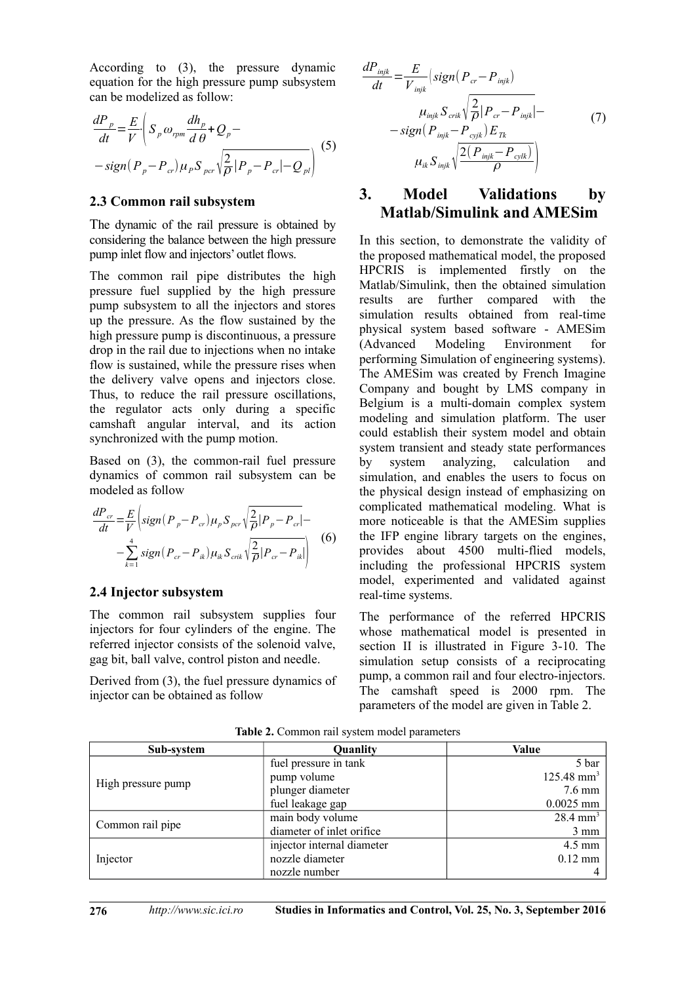According to (3), the pressure dynamic equation for the high pressure pump subsystem can be modelized as follow:

$$
\frac{dP_p}{dt} = \frac{E}{V} \left( S_p \omega_{rpm} \frac{dh_p}{d\theta} + Q_p - \frac{\sigma_{r}}{2} \frac{dP_p}{d\theta} \right)
$$
\n
$$
-sign(P_p - P_{cr}) \mu_p S_{pc} \sqrt{\frac{2}{\rho}} |P_p - P_{cr}| - Q_{pl} \right)
$$
\n(5)

#### **2.3 Common rail subsystem**

The dynamic of the rail pressure is obtained by considering the balance between the high pressure pump inlet flow and injectors' outlet flows.

The common rail pipe distributes the high pressure fuel supplied by the high pressure pump subsystem to all the injectors and stores up the pressure. As the flow sustained by the high pressure pump is discontinuous, a pressure drop in the rail due to injections when no intake flow is sustained, while the pressure rises when the delivery valve opens and injectors close. Thus, to reduce the rail pressure oscillations, the regulator acts only during a specific camshaft angular interval, and its action synchronized with the pump motion.

Based on (3), the common-rail fuel pressure dynamics of common rail subsystem can be modeled as follow

$$
\frac{dP_{cr}}{dt} = \frac{E}{V} \left( sign(P_p - P_{cr}) \mu_p S_{per} \sqrt{\frac{2}{\rho} |P_p - P_{cr}|} - \sum_{k=1}^4 sign(P_{cr} - P_{ik}) \mu_k S_{crit} \sqrt{\frac{2}{\rho} |P_{cr} - P_{ik}|} \right)
$$
(6)

### **2.4 Injector subsystem**

The common rail subsystem supplies four injectors for four cylinders of the engine. The referred injector consists of the solenoid valve, gag bit, ball valve, control piston and needle.

Derived from (3), the fuel pressure dynamics of injector can be obtained as follow

$$
\frac{dP_{\text{injk}}}{dt} = \frac{E}{V_{\text{injk}}} \left( sign(P_{cr} - P_{\text{injk}}) \right)
$$

$$
\mu_{\text{injk}} S_{\text{crit}} \sqrt{\frac{2}{\rho}} |P_{cr} - P_{\text{injk}}| - \frac{2}{\rho} \left( P_{\text{injk}} - P_{\text{outjk}} \right) \left( 7 \right)
$$

$$
\mu_{ik} S_{\text{injk}} \sqrt{\frac{2(P_{\text{injk}} - P_{\text{out}})}{\rho}} \right)
$$

## **3. Model Validations by Matlab/Simulink and AMESim**

In this section, to demonstrate the validity of the proposed mathematical model, the proposed HPCRIS is implemented firstly on the Matlab/Simulink, then the obtained simulation results are further compared with the simulation results obtained from real-time physical system based software - AMESim (Advanced Modeling Environment for performing Simulation of engineering systems). The AMESim was created by French Imagine Company and bought by LMS company in Belgium is a multi-domain complex system modeling and simulation platform. The user could establish their system model and obtain system transient and steady state performances by system analyzing, calculation and simulation, and enables the users to focus on the physical design instead of emphasizing on complicated mathematical modeling. What is more noticeable is that the AMESim supplies the IFP engine library targets on the engines, provides about 4500 multi-flied models, including the professional HPCRIS system model, experimented and validated against real-time systems.

The performance of the referred HPCRIS whose mathematical model is presented in section II is illustrated in Figure 3-10. The simulation setup consists of a reciprocating pump, a common rail and four electro-injectors. The camshaft speed is 2000 rpm. The parameters of the model are given in Table 2.

| Sub-system         | Quanlity                   | Value                    |
|--------------------|----------------------------|--------------------------|
| High pressure pump | fuel pressure in tank      | 5 bar                    |
|                    | pump volume                | $125.48$ mm <sup>3</sup> |
|                    | plunger diameter           | $7.6$ mm                 |
|                    | fuel leakage gap           | $0.0025$ mm              |
| Common rail pipe   | main body volume           | $28.4$ mm <sup>3</sup>   |
|                    | diameter of inlet orifice  | $3 \text{ mm}$           |
| Injector           | injector internal diameter | $4.5 \text{ mm}$         |
|                    | nozzle diameter            | $0.12$ mm                |
|                    | nozzle number              |                          |

**Table 2.** Common rail system model parameters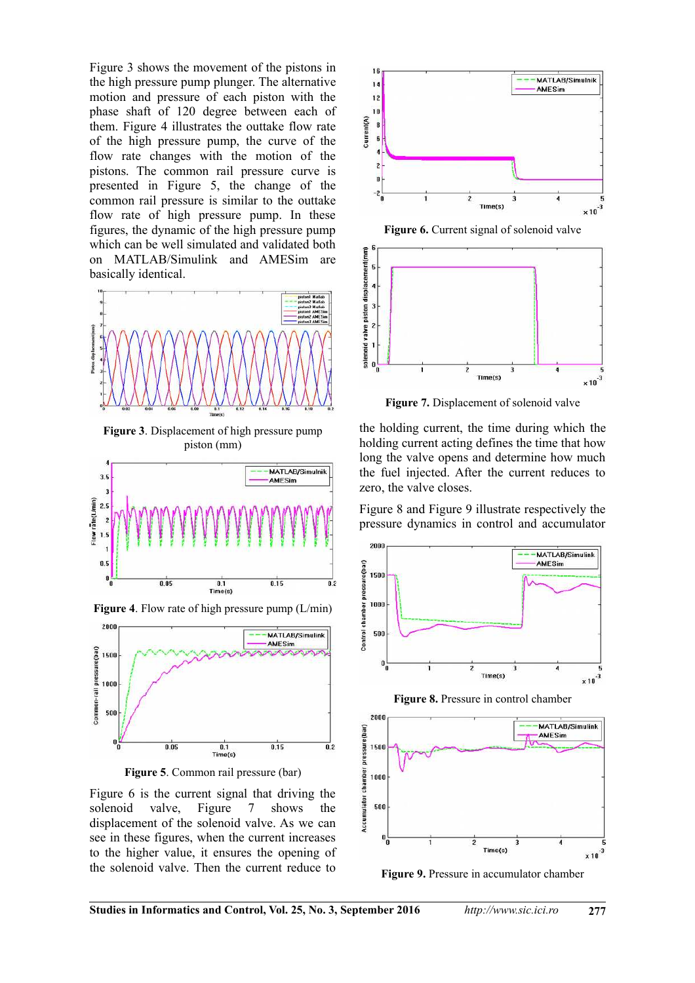Figure 3 shows the movement of the pistons in the high pressure pump plunger. The alternative motion and pressure of each piston with the phase shaft of 120 degree between each of them. Figure 4 illustrates the outtake flow rate of the high pressure pump, the curve of the flow rate changes with the motion of the pistons. The common rail pressure curve is presented in Figure 5, the change of the common rail pressure is similar to the outtake flow rate of high pressure pump. In these figures, the dynamic of the high pressure pump which can be well simulated and validated both on MATLAB/Simulink and AMESim are basically identical.



**Figure 3**. Displacement of high pressure pump piston (mm)



**Figure 4**. Flow rate of high pressure pump (L/min)





Figure 6 is the current signal that driving the solenoid valve, Figure 7 shows the displacement of the solenoid valve. As we can see in these figures, when the current increases to the higher value, it ensures the opening of the solenoid valve. Then the current reduce to



**Figure 6.** Current signal of solenoid valve



**Figure 7.** Displacement of solenoid valve

the holding current, the time during which the holding current acting defines the time that how long the valve opens and determine how much the fuel injected. After the current reduces to zero, the valve closes.

Figure 8 and Figure 9 illustrate respectively the pressure dynamics in control and accumulator



**Figure 8.** Pressure in control chamber



**Figure 9.** Pressure in accumulator chamber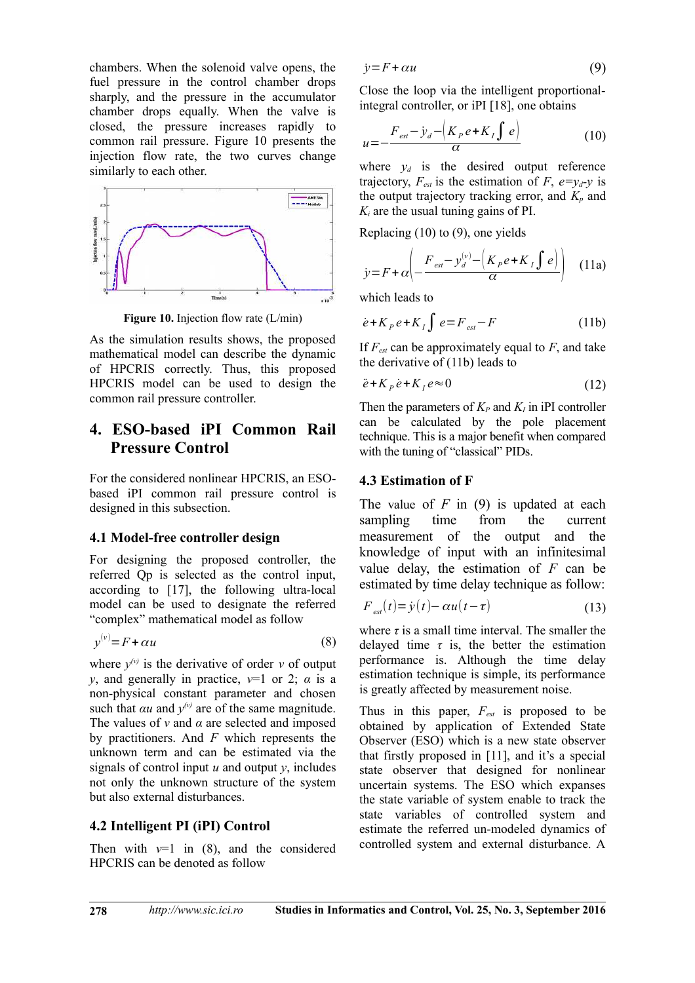chambers. When the solenoid valve opens, the fuel pressure in the control chamber drops sharply, and the pressure in the accumulator chamber drops equally. When the valve is closed, the pressure increases rapidly to common rail pressure. Figure 10 presents the injection flow rate, the two curves change similarly to each other.



**Figure 10.** Injection flow rate (L/min)

As the simulation results shows, the proposed mathematical model can describe the dynamic of HPCRIS correctly. Thus, this proposed HPCRIS model can be used to design the common rail pressure controller.

## **4. ESO-based iPI Common Rail Pressure Control**

For the considered nonlinear HPCRIS, an ESObased iPI common rail pressure control is designed in this subsection.

#### **4.1 Model-free controller design**

For designing the proposed controller, the referred Qp is selected as the control input, according to [17], the following ultra-local model can be used to designate the referred "complex" mathematical model as follow

$$
y^{(v)} = F + \alpha u \tag{8}
$$

where  $y^{(v)}$  is the derivative of order *v* of output *y*, and generally in practice,  $v=1$  or 2;  $\alpha$  is a non-physical constant parameter and chosen such that  $\alpha u$  and  $y^{\prime \nu}$  are of the same magnitude. The values of *ν* and *α* are selected and imposed by practitioners. And *F* which represents the unknown term and can be estimated via the signals of control input  $u$  and output  $y$ , includes not only the unknown structure of the system but also external disturbances.

#### **4.2 Intelligent PI (iPI) Control**

Then with  $v=1$  in (8), and the considered HPCRIS can be denoted as follow

$$
\dot{y} = F + \alpha u \tag{9}
$$

Close the loop via the intelligent proportionalintegral controller, or iPI [18], one obtains

$$
u = -\frac{F_{est} - \dot{y}_d - \left(K_p e + K_I \int e\right)}{\alpha} \tag{10}
$$

where  $y_d$  is the desired output reference trajectory,  $F_{est}$  is the estimation of  $F$ ,  $e=y_d-y$  is the output trajectory tracking error, and  $K_p$  and  $K_i$  are the usual tuning gains of PI.

Replacing (10) to (9), one yields

$$
y = F + \alpha \left( -\frac{F_{\text{est}} - y_d^{(v)} - \left( K_p e + K_I \int e \right)}{\alpha} \right) \quad (11a)
$$

which leads to

$$
\dot{e} + K_p e + K_I \int e = F_{est} - F \tag{11b}
$$

If *Fest* can be approximately equal to *F*, and take the derivative of (11b) leads to

$$
\ddot{e} + K_p \dot{e} + K_l e \approx 0 \tag{12}
$$

Then the parameters of  $K_P$  and  $K_I$  in iPI controller can be calculated by the pole placement technique. This is a major benefit when compared with the tuning of "classical" PIDs.

#### **4.3 Estimation of F**

The value of *F* in (9) is updated at each sampling time from the current measurement of the output and the knowledge of input with an infinitesimal value delay, the estimation of *F* can be estimated by time delay technique as follow:

$$
F_{est}(t) = \dot{y}(t) - \alpha u(t - \tau) \tag{13}
$$

where  $\tau$  is a small time interval. The smaller the delayed time  $\tau$  is, the better the estimation performance is. Although the time delay estimation technique is simple, its performance is greatly affected by measurement noise.

Thus in this paper, *Fest* is proposed to be obtained by application of Extended State Observer (ESO) which is a new state observer that firstly proposed in [11], and it's a special state observer that designed for nonlinear uncertain systems. The ESO which expanses the state variable of system enable to track the state variables of controlled system and estimate the referred un-modeled dynamics of controlled system and external disturbance. A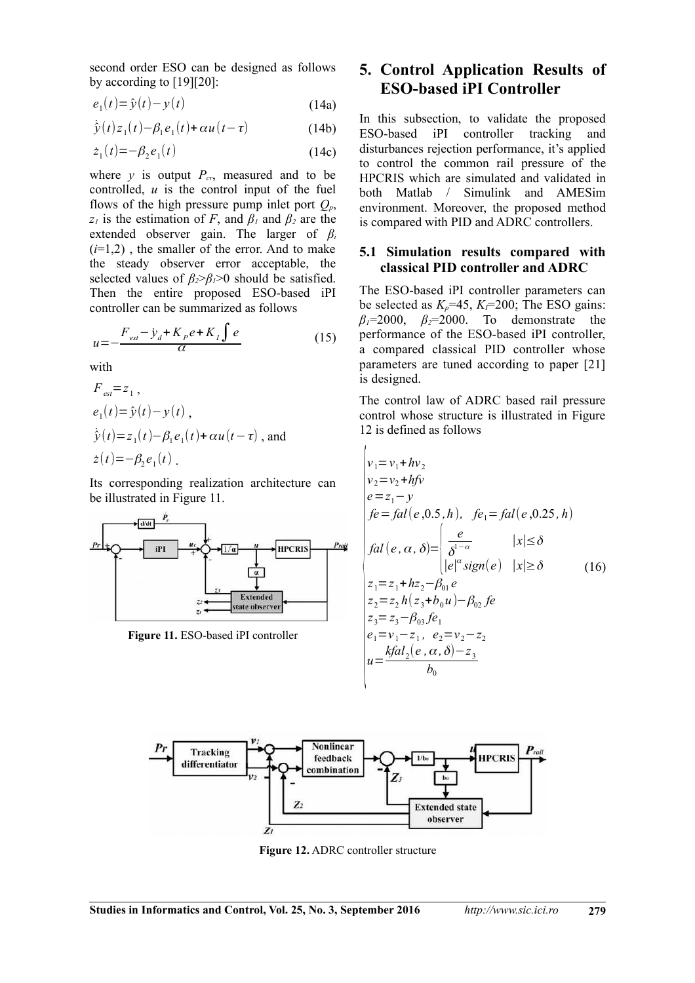second order ESO can be designed as follows by according to [19][20]:

$$
e_1(t) = \hat{y}(t) - y(t) \tag{14a}
$$

$$
\dot{\hat{y}}(t)z_1(t) - \beta_1 e_1(t) + \alpha u(t - \tau)
$$
\n(14b)

$$
\dot{z}_1(t) = -\beta_2 e_1(t) \tag{14c}
$$

where  $y$  is output  $P_{cr}$ , measured and to be controlled, *u* is the control input of the fuel flows of the high pressure pump inlet port  $Q_p$ , *z*<sub>1</sub> is the estimation of *F*, and  $\beta$ <sup>1</sup> and  $\beta$ <sup>2</sup> are the extended observer gain. The larger of *β<sup>i</sup>*  $(i=1,2)$ , the smaller of the error. And to make the steady observer error acceptable, the selected values of  $\beta_2 > \beta_1 > 0$  should be satisfied. Then the entire proposed ESO-based iPI controller can be summarized as follows

$$
u = -\frac{F_{est} - \dot{y}_d + K_p e + K_I \int e}{\alpha} \tag{15}
$$

with

$$
F_{est} = z_1,
$$
  
\n
$$
e_1(t) = \hat{y}(t) - y(t),
$$
  
\n
$$
\dot{\hat{y}}(t) = z_1(t) - \beta_1 e_1(t) + \alpha u(t - \tau),
$$
 and  
\n
$$
\dot{z}(t) = -\beta_2 e_1(t).
$$

Its corresponding realization architecture can be illustrated in Figure 11.



**Figure 11.** ESO-based iPI controller

## **5. Control Application Results of ESO-based iPI Controller**

In this subsection, to validate the proposed ESO-based iPI controller tracking and disturbances rejection performance, it's applied to control the common rail pressure of the HPCRIS which are simulated and validated in both Matlab / Simulink and AMESim environment. Moreover, the proposed method is compared with PID and ADRC controllers.

#### **5.1 Simulation results compared with classical PID controller and ADRC**

The ESO-based iPI controller parameters can be selected as  $K_p$ =45,  $K_f$ =200; The ESO gains: *β1*=2000, *β2*=2000. To demonstrate the performance of the ESO-based iPI controller, a compared classical PID controller whose parameters are tuned according to paper [21] is designed.

The control law of ADRC based rail pressure control whose structure is illustrated in Figure 12 is defined as follows

$$
\begin{aligned}\n&\begin{cases}\nv_1 = v_1 + hv_2 \\
v_2 = v_2 + hfv \\
e = z_1 - y \\
fe = fal(e, 0.5, h), \quad fe_1 = fal(e, 0.25, h) \\
fal(e, \alpha, \delta) = \begin{cases}\n\frac{e}{\delta^{1-\alpha}} & |x| \le \delta \\
|e|^\alpha \operatorname{sign}(e) & |x| \ge \delta\n\end{cases} \\
z_1 = z_1 + h z_2 - \beta_{01} e \\
z_2 = z_2 h(z_3 + b_0 u) - \beta_{02} fe \\
z_3 = z_3 - \beta_{03} fe_1 \\
e_1 = v_1 - z_1, \quad e_2 = v_2 - z_2 \\
u = \frac{kfal_2(e, \alpha, \delta) - z_3}{b_0}\n\end{cases}\n\end{aligned} \tag{16}
$$



 $\overline{1}$ 

**Figure 12.** ADRC controller structure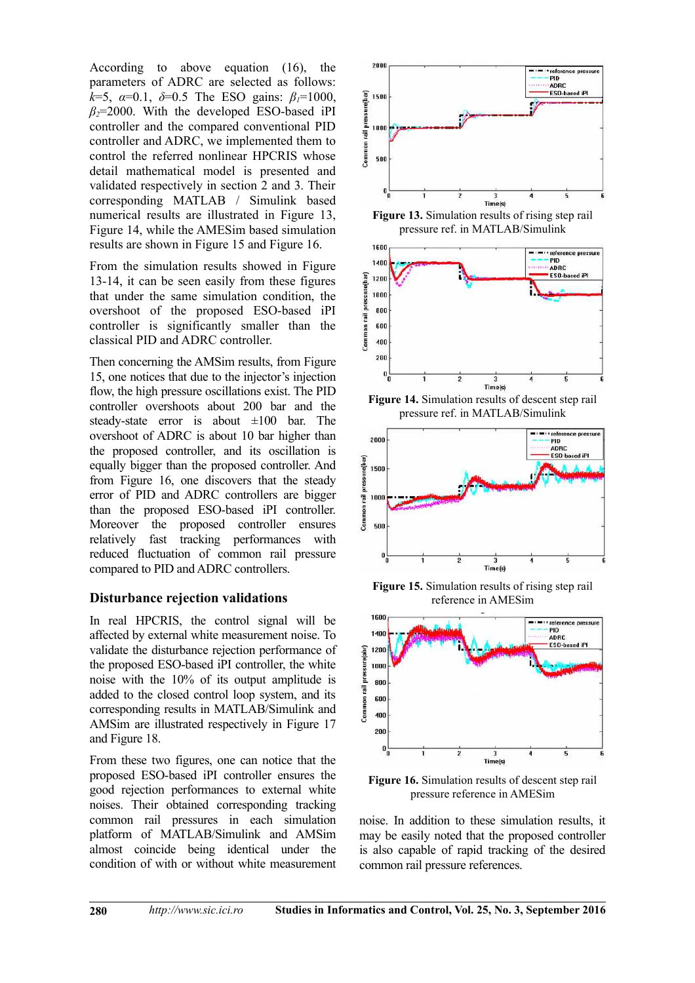According to above equation (16), the parameters of ADRC are selected as follows: *k*=5, *α*=0.1, *δ*=0.5 The ESO gains: *β1*=1000,  $β<sub>2</sub>=2000$ . With the developed ESO-based iPI controller and the compared conventional PID controller and ADRC, we implemented them to control the referred nonlinear HPCRIS whose detail mathematical model is presented and validated respectively in section 2 and 3. Their corresponding MATLAB / Simulink based numerical results are illustrated in Figure 13, Figure 14, while the AMESim based simulation results are shown in Figure 15 and Figure 16.

From the simulation results showed in Figure 13-14, it can be seen easily from these figures that under the same simulation condition, the overshoot of the proposed ESO-based iPI controller is significantly smaller than the classical PID and ADRC controller.

Then concerning the AMSim results, from Figure 15, one notices that due to the injector's injection flow, the high pressure oscillations exist. The PID controller overshoots about 200 bar and the steady-state error is about  $\pm 100$  bar. The overshoot of ADRC is about 10 bar higher than the proposed controller, and its oscillation is equally bigger than the proposed controller. And from Figure 16, one discovers that the steady error of PID and ADRC controllers are bigger than the proposed ESO-based iPI controller. Moreover the proposed controller ensures relatively fast tracking performances with reduced fluctuation of common rail pressure compared to PID and ADRC controllers.

#### **Disturbance rejection validations**

In real HPCRIS, the control signal will be affected by external white measurement noise. To validate the disturbance rejection performance of the proposed ESO-based iPI controller, the white noise with the 10% of its output amplitude is added to the closed control loop system, and its corresponding results in MATLAB/Simulink and AMSim are illustrated respectively in Figure 17 and Figure 18.

From these two figures, one can notice that the proposed ESO-based iPI controller ensures the good rejection performances to external white noises. Their obtained corresponding tracking common rail pressures in each simulation platform of MATLAB/Simulink and AMSim almost coincide being identical under the condition of with or without white measurement



**Figure 13.** Simulation results of rising step rail pressure ref. in MATLAB/Simulink



**Figure 14.** Simulation results of descent step rail pressure ref. in MATLAB/Simulink



**Figure 15.** Simulation results of rising step rail reference in AMESim



**Figure 16.** Simulation results of descent step rail pressure reference in AMESim

noise. In addition to these simulation results, it may be easily noted that the proposed controller is also capable of rapid tracking of the desired common rail pressure references.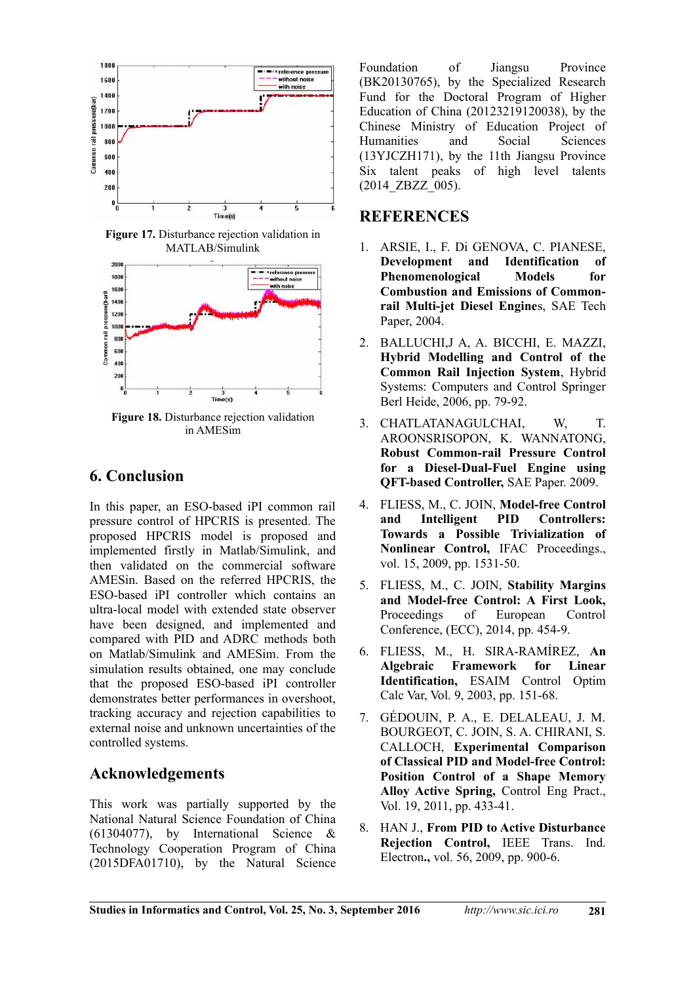

**Figure 17.** Disturbance rejection validation in MATLAB/Simulink



**Figure 18.** Disturbance rejection validation in AMESim

## **6. Conclusion**

In this paper, an ESO-based iPI common rail pressure control of HPCRIS is presented. The proposed HPCRIS model is proposed and implemented firstly in Matlab/Simulink, and then validated on the commercial software AMESin. Based on the referred HPCRIS, the ESO-based iPI controller which contains an ultra-local model with extended state observer have been designed, and implemented and compared with PID and ADRC methods both on Matlab/Simulink and AMESim. From the simulation results obtained, one may conclude that the proposed ESO-based iPI controller demonstrates better performances in overshoot, tracking accuracy and rejection capabilities to external noise and unknown uncertainties of the controlled systems.

## **Acknowledgements**

This work was partially supported by the National Natural Science Foundation of China (61304077), by International Science & Technology Cooperation Program of China (2015DFA01710), by the Natural Science Foundation of Jiangsu Province (BK20130765), by the Specialized Research Fund for the Doctoral Program of Higher Education of China (20123219120038), by the Chinese Ministry of Education Project of Humanities and Social Sciences (13YJCZH171), by the 11th Jiangsu Province Six talent peaks of high level talents (2014\_ZBZZ\_005).

## **REFERENCES**

- 1. ARSIE, I., F. Di GENOVA, C. PIANESE, **Development and Identification of Phenomenological Models for Combustion and Emissions of Commonrail Multi-jet Diesel Engine**s, SAE Tech Paper, 2004.
- 2. BALLUCHI,J A, A. BICCHI, E. MAZZI, **Hybrid Modelling and Control of the Common Rail Injection System**, Hybrid Systems: Computers and Control Springer Berl Heide, 2006, pp. 79-92.
- 3. CHATLATANAGULCHAI, W, T. AROONSRISOPON, K. WANNATONG, **Robust Common-rail Pressure Control for a Diesel-Dual-Fuel Engine using QFT-based Controller,** SAE Paper. 2009.
- 4. FLIESS, M., C. JOIN, **Model-free Control and Intelligent PID Controllers: Towards a Possible Trivialization of Nonlinear Control,** IFAC Proceedings., vol. 15, 2009, pp. 1531-50.
- 5. FLIESS, M., C. JOIN, **Stability Margins and Model-free Control: A First Look,** Proceedings of European Control Conference, (ECC), 2014, pp. 454-9.
- 6. FLIESS, M., H. SIRA-RAMÍREZ, **An Algebraic Framework for Linear Identification,** ESAIM Control Optim Calc Var, Vol. 9, 2003, pp. 151-68.
- 7. GÉDOUIN, P. A., E. DELALEAU, J. M. BOURGEOT, C. JOIN, S. A. CHIRANI, S. CALLOCH, **Experimental Comparison of Classical PID and Model-free Control: Position Control of a Shape Memory Alloy Active Spring,** Control Eng Pract., Vol. 19, 2011, pp. 433-41.
- 8. HAN J., **From PID to Active Disturbance Rejection Control,** IEEE Trans. Ind. Electron**.,** vol. 56, 2009, pp. 900-6.